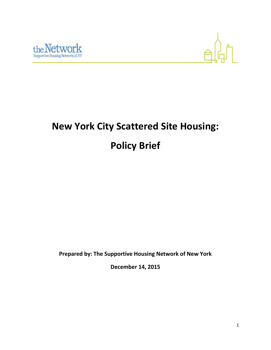



# **New York City Scattered Site Housing: Policy Brief**

**Prepared by: The Supportive Housing Network of New York**

**December 14, 2015**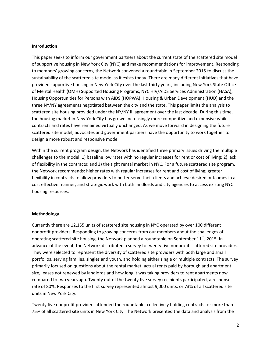#### **Introduction**

This paper seeks to inform our government partners about the current state of the scattered site model of supportive housing in New York City (NYC) and make recommendations for improvement. Responding to members' growing concerns, the Network convened a roundtable in September 2015 to discuss the sustainability of the scattered site model as it exists today. There are many different initiatives that have provided supportive housing in New York City over the last thirty years, including New York State Office of Mental Health (OMH) Supported Housing Programs, NYC HIV/AIDS Services Administration (HASA), Housing Opportunities for Persons with AIDS (HOPWA), Housing & Urban Development (HUD) and the three NY/NY agreements negotiated between the city and the state. This paper limits the analysis to scattered site housing provided under the NY/NY III agreement over the last decade. During this time, the housing market in New York City has grown increasingly more competitive and expensive while contracts and rates have remained virtually unchanged. As we move forward in designing the future scattered site model, advocates and government partners have the opportunity to work together to design a more robust and responsive model.

Within the current program design, the Network has identified three primary issues driving the multiple challenges to the model: 1) baseline low rates with no regular increases for rent or cost of living; 2) lack of flexibility in the contracts; and 3) the tight rental market in NYC. For a future scattered site program, the Network recommends: higher rates with regular increases for rent and cost of living; greater flexibility in contracts to allow providers to better serve their clients and achieve desired outcomes in a cost effective manner; and strategic work with both landlords and city agencies to access existing NYC housing resources.

#### **Methodology**

Currently there are 12,155 units of scattered site housing in NYC operated by over 100 different nonprofit providers. Responding to growing concerns from our members about the challenges of operating scattered site housing, the Network planned a roundtable on September  $11<sup>th</sup>$ , 2015. In advance of the event, the Network distributed a survey to twenty five nonprofit scattered site providers. They were selected to represent the diversity of scattered site providers with both large and small portfolios, serving families, singles and youth, and holding either single or multiple contracts. The survey primarily focused on questions about the rental market: actual rents paid by borough and apartment size, leases not renewed by landlords and how long it was taking providers to rent apartments now compared to two years ago. Twenty out of the twenty five survey recipients participated, a response rate of 80%. Responses to the first survey represented almost 9,000 units, or 73% of all scattered site units in New York City.

Twenty five nonprofit providers attended the roundtable, collectively holding contracts for more than 75% of all scattered site units in New York City. The Network presented the data and analysis from the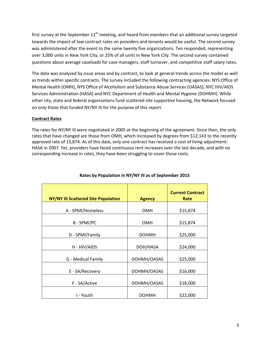first survey at the September  $11<sup>th</sup>$  meeting, and heard from members that an additional survey targeted towards the impact of low contract rates on providers and tenants would be useful. The second survey was administered after the event to the same twenty five organizations. Ten responded, representing over 3,000 units in New York City, or 25% of all units in New York City. The second survey contained questions about average caseloads for case managers, staff turnover, and competitive staff salary rates.

The data was analyzed by issue areas and by contract, to look at general trends across the model as well as trends within specific contracts. The survey included the following contracting agencies: NYS Office of Mental Health (OMH), NYS Office of Alcoholism and Substance Abuse Services (OASAS), NYC HIV/AIDS Services Administration (HASA) and NYC Department of Health and Mental Hygiene (DOHMH). While other city, state and federal organizations fund scattered site supportive housing, the Network focused on only those that funded NY/NY III for the purpose of this report.

# **Contract Rates**

The rates for NY/NY III were negotiated in 2005 at the beginning of the agreement. Since then, the only rates that have changed are those from OMH, which increased by degrees from \$12,143 to the recently approved rate of 15,874. As of this date, only one contract has received a cost of living adjustment: HASA in 2007. Yet, providers have faced continuous rent increases over the last decade, and with no corresponding increase in rates, they have been struggling to cover those costs.

| NY/NY III Scattered Site Population | <b>Agency</b>           | <b>Current Contract</b><br>Rate |  |
|-------------------------------------|-------------------------|---------------------------------|--|
| A - SPMI/Homeless                   | <b>OMH</b>              | \$15,874                        |  |
| <b>B-SPMI/PC</b>                    | <b>OMH</b>              | \$15,874                        |  |
| D - SPMI/Family                     | <b>DOHMH</b>            | \$25,000                        |  |
| H - HIV/AIDS                        | DOH/HASA                | \$24,000                        |  |
| G - Medical Family                  | \$25,000<br>DOHMH/OASAS |                                 |  |
| E - SA/Recovery                     | DOHMH/OASAS             | \$16,000                        |  |
| F - SA/Active                       | DOHMH/OASAS             | \$18,000                        |  |
| I - Youth                           | <b>DOHMH</b>            | \$22,000                        |  |

## **Rates by Population in NY/NY III as of September 2015**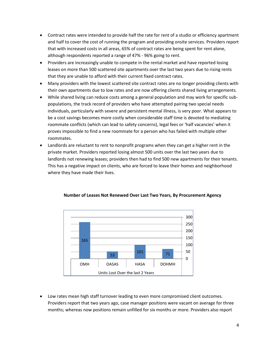- Contract rates were intended to provide half the rate for rent of a studio or efficiency apartment and half to cover the cost of running the program and providing onsite services. Providers report that with increased costs in all areas, 65% of contract rates are being spent for rent alone, although respondents reported a range of 47% - 96% going to rent.
- Providers are increasingly unable to compete in the rental market and have reported losing leases on more than 500 scattered site apartments over the last two years due to rising rents that they are unable to afford with their current fixed contract rates.
- Many providers with the lowest scattered site contract rates are no longer providing clients with their own apartments due to low rates and are now offering clients shared living arrangements.
- While shared living can reduce costs among a general population and may work for specific subpopulations, the track record of providers who have attempted pairing two special needs individuals, particularly with severe and persistent mental illness, is very poor. What appears to be a cost savings becomes more costly when considerable staff time is devoted to mediating roommate conflicts (which can lead to safety concerns), legal fees or 'half vacancies' when it proves impossible to find a new roommate for a person who has failed with multiple other roommates.
- Landlords are reluctant to rent to nonprofit programs when they can get a higher rent in the private market. Providers reported losing almost 500 units over the last two years due to landlords not renewing leases; providers then had to find 500 new apartments for their tenants. This has a negative impact on clients, who are forced to leave their homes and neighborhood where they have made their lives.



### **Number of Leases Not Renewed Over Last Two Years, By Procurement Agency**

 Low rates mean high staff turnover leading to even more compromised client outcomes. Providers report that two years ago, case manager positions were vacant on average for three months; whereas now positions remain unfilled for six months or more. Providers also report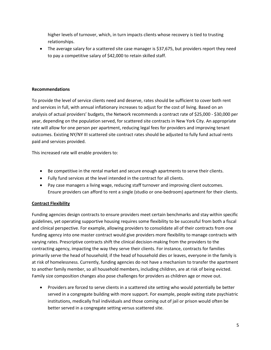higher levels of turnover, which, in turn impacts clients whose recovery is tied to trusting relationships.

• The average salary for a scattered site case manager is \$37,675, but providers report they need to pay a competitive salary of \$42,000 to retain skilled staff.

## **Recommendations**

To provide the level of service clients need and deserve, rates should be sufficient to cover both rent and services in full, with annual inflationary increases to adjust for the cost of living. Based on an analysis of actual providers' budgets, the Network recommends a contract rate of \$25,000 - \$30,000 per year, depending on the population served, for scattered site contracts in New York City. An appropriate rate will allow for one person per apartment, reducing legal fees for providers and improving tenant outcomes. Existing NY/NY III scattered site contract rates should be adjusted to fully fund actual rents paid and services provided.

This increased rate will enable providers to:

- Be competitive in the rental market and secure enough apartments to serve their clients.
- Fully fund services at the level intended in the contract for all clients.
- Pay case managers a living wage, reducing staff turnover and improving client outcomes. Ensure providers can afford to rent a single (studio or one-bedroom) apartment for their clients.

# **Contract Flexibility**

Funding agencies design contracts to ensure providers meet certain benchmarks and stay within specific guidelines, yet operating supportive housing requires some flexibility to be successful from both a fiscal and clinical perspective. For example, allowing providers to consolidate all of their contracts from one funding agency into one master contract would give providers more flexibility to manage contracts with varying rates. Prescriptive contracts shift the clinical decision-making from the providers to the contracting agency, impacting the way they serve their clients. For instance, contracts for families primarily serve the head of household; if the head of household dies or leaves, everyone in the family is at risk of homelessness. Currently, funding agencies do not have a mechanism to transfer the apartment to another family member, so all household members, including children, are at risk of being evicted. Family size composition changes also pose challenges for providers as children age or move out.

• Providers are forced to serve clients in a scattered site setting who would potentially be better served in a congregate building with more support. For example, people exiting state psychiatric institutions, medically frail individuals and those coming out of jail or prison would often be better served in a congregate setting versus scattered site.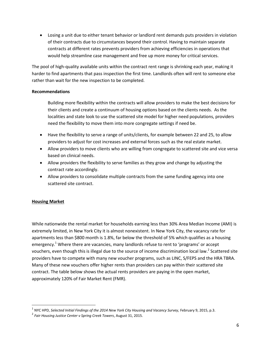Losing a unit due to either tenant behavior or landlord rent demands puts providers in violation of their contracts due to circumstances beyond their control. Having to maintain separate contracts at different rates prevents providers from achieving efficiencies in operations that would help streamline case management and free up more money for critical services.

The pool of high-quality available units within the contract rent range is shrinking each year, making it harder to find apartments that pass inspection the first time. Landlords often will rent to someone else rather than wait for the new inspection to be completed.

### **Recommendations**

Building more flexibility within the contracts will allow providers to make the best decisions for their clients and create a continuum of housing options based on the clients needs. As the localities and state look to use the scattered site model for higher need populations, providers need the flexibility to move them into more congregate settings if need be.

- Have the flexibility to serve a range of units/clients, for example between 22 and 25, to allow providers to adjust for cost increases and external forces such as the real estate market.
- Allow providers to move clients who are willing from congregate to scattered site and vice versa based on clinical needs.
- Allow providers the flexibility to serve families as they grow and change by adjusting the contract rate accordingly.
- Allow providers to consolidate multiple contracts from the same funding agency into one scattered site contract.

# **Housing Market**

l

While nationwide the rental market for households earning less than 30% Area Median Income (AMI) is extremely limited, in New York City it is almost nonexistent. In New York City, the vacancy rate for apartments less than \$800 month is 1.8%, far below the threshold of 5% which qualifies as a housing emergency.<sup>1</sup> Where there are vacancies, many landlords refuse to rent to 'programs' or accept vouchers, even though this is illegal due to the source of income discrimination local law.<sup>2</sup> Scattered site providers have to compete with many new voucher programs, such as LINC, S/FEPS and the HRA TBRA. Many of these new vouchers offer higher rents than providers can pay within their scattered site contract. The table below shows the actual rents providers are paying in the open market, approximately 120% of Fair Market Rent (FMR).

<sup>&</sup>lt;sup>1</sup> NYC HPD, Selected Initial Findings of the 2014 New York City Housing and Vacancy Survey, February 9, 2015, p.3.

<sup>2</sup> *Fair Housing Justice Center v Spring Creek Towers*, August 31, 2015.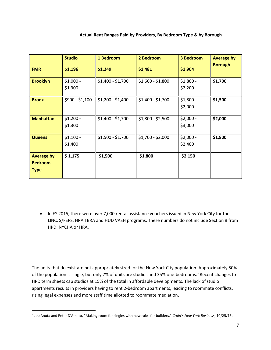## **Actual Rent Ranges Paid by Providers, By Bedroom Type & by Borough**

| <b>FMR</b>                                         | <b>Studio</b><br>\$1,196 | 1 Bedroom<br>\$1,249 | 2 Bedroom<br>\$1,481 | <b>3 Bedroom</b><br>\$1,904 | <b>Average by</b><br><b>Borough</b> |
|----------------------------------------------------|--------------------------|----------------------|----------------------|-----------------------------|-------------------------------------|
| <b>Brooklyn</b>                                    | $$1,000 -$<br>\$1,300    | $$1,400 - $1,700$    | $$1,600 - $1,800$    | $$1,800 -$<br>\$2,200       | \$1,700                             |
| <b>Bronx</b>                                       | $$900 - $1,100$          | $$1,200 - $1,400$    | $$1,400 - $1,700$    | $$1,800 -$<br>\$2,000       | \$1,500                             |
| <b>Manhattan</b>                                   | $$1,200 -$<br>\$1,300    | $$1,400 - $1,700$    | $$1,800 - $2,500$    | $$2,000 -$<br>\$3,000       | \$2,000                             |
| <b>Queens</b>                                      | $$1,100 -$<br>\$1,400    | $$1,500 - $1,700$    | $$1,700 - $2,000$    | $$2,000 -$<br>\$2,400       | \$1,800                             |
| <b>Average by</b><br><b>Bedroom</b><br><b>Type</b> | \$1,175                  | \$1,500              | \$1,800              | \$2,150                     |                                     |

• In FY 2015, there were over 7,000 rental assistance vouchers issued in New York City for the LINC, S/FEPS, HRA TBRA and HUD VASH programs. These numbers do not include Section 8 from HPD, NYCHA or HRA.

The units that do exist are not appropriately sized for the New York City population. Approximately 50% of the population is single, but only 7% of units are studios and 35% one-bedrooms.<sup>3</sup> Recent changes to HPD term sheets cap studios at 15% of the total in affordable developments. The lack of studio apartments results in providers having to rent 2-bedroom apartments, leading to roommate conflicts, rising legal expenses and more staff time allotted to roommate mediation.

 $\overline{\phantom{a}}$ 

<sup>3</sup> Joe Anuta and Peter D'Amato, "Making room for singles with new rules for builders," *Crain's New York Business*, 10/25/15.